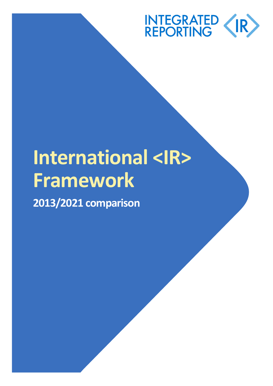

# **International <IR> Framework**

**2013/2021 comparison**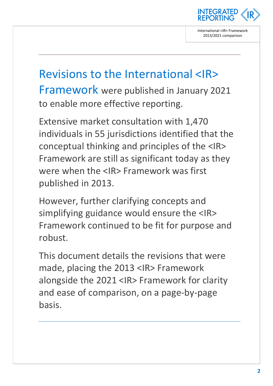

## Revisions to the International <IR>

Framework were published in January 2021 to enable more effective reporting.

Extensive market consultation with 1,470 individuals in 55 jurisdictions identified that the conceptual thinking and principles of the <IR> Framework are still as significant today as they were when the <IR> Framework was first published in 2013.

However, further clarifying concepts and simplifying guidance would ensure the <IR> Framework continued to be fit for purpose and robust.

This document details the revisions that were made, placing the 2013 <IR> Framework alongside the 2021 <IR> Framework for clarity and ease of comparison, on a page-by-page basis.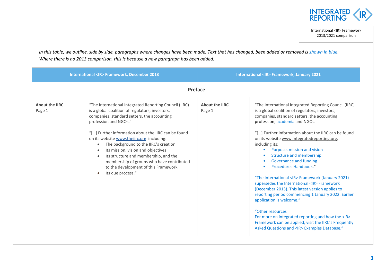

*In this table, we outline, side by side, paragraphs where changes have been made. Text that has changed, been added or removed is shown in blue. Where there is no 2013 comparison, this is because a new paragraph has been added.*

| <b>International <ir> Framework, December 2013</ir></b> |                                                                                                                                                                                                                                                                                                                                                                                                                                                                                                                         | <b>International <ir> Framework, January 2021</ir></b> |                                                                                                                                                                                                                                                                                                                                                                                                                                                                                                                                                                                                                                                                                                                                                                                                                                                                                                                   |  |
|---------------------------------------------------------|-------------------------------------------------------------------------------------------------------------------------------------------------------------------------------------------------------------------------------------------------------------------------------------------------------------------------------------------------------------------------------------------------------------------------------------------------------------------------------------------------------------------------|--------------------------------------------------------|-------------------------------------------------------------------------------------------------------------------------------------------------------------------------------------------------------------------------------------------------------------------------------------------------------------------------------------------------------------------------------------------------------------------------------------------------------------------------------------------------------------------------------------------------------------------------------------------------------------------------------------------------------------------------------------------------------------------------------------------------------------------------------------------------------------------------------------------------------------------------------------------------------------------|--|
| <b>Preface</b>                                          |                                                                                                                                                                                                                                                                                                                                                                                                                                                                                                                         |                                                        |                                                                                                                                                                                                                                                                                                                                                                                                                                                                                                                                                                                                                                                                                                                                                                                                                                                                                                                   |  |
| <b>About the IIRC</b><br>Page 1                         | "The International Integrated Reporting Council (IIRC)<br>is a global coalition of regulators, investors,<br>companies, standard setters, the accounting<br>profession and NGOs."<br>"[] Further information about the IIRC can be found<br>on its website www.theiirc.org including:<br>The background to the IIRC's creation<br>Its mission, vision and objectives<br>Its structure and membership, and the<br>membership of groups who have contributed<br>to the development of this Framework<br>Its due process." | <b>About the IIRC</b><br>Page 1                        | "The International Integrated Reporting Council (IIRC)<br>is a global coalition of regulators, investors,<br>companies, standard setters, the accounting<br>profession, academia and NGOs.<br>"[] Further information about the IIRC can be found<br>on its website www.integratedreporting.org,<br>including its:<br>Purpose, mission and vision<br>$\bullet$<br><b>Structure and membership</b><br><b>Governance and funding</b><br>Procedures Handbook."<br>"The International <ir> Framework (January 2021)<br/>supersedes the International <ir>Framework<br/>(December 2013). This latest version applies to<br/>reporting period commencing 1 January 2022. Earlier<br/>application is welcome."<br/>"Other resources<br/>For more on integrated reporting and how the <ir><br/>Framework can be applied, visit the IIRC's Frequently<br/>Asked Questions and <ir> Examples Database."</ir></ir></ir></ir> |  |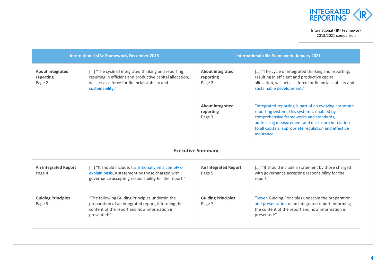

|                                                | <b>International <ir> Framework, December 2013</ir></b>                                                                                                                                 |                                                | <b>International <ir> Framework, January 2021</ir></b>                                                                                                                                                                                                                        |
|------------------------------------------------|-----------------------------------------------------------------------------------------------------------------------------------------------------------------------------------------|------------------------------------------------|-------------------------------------------------------------------------------------------------------------------------------------------------------------------------------------------------------------------------------------------------------------------------------|
| <b>About integrated</b><br>reporting<br>Page 2 | [] "The cycle of integrated thinking and reporting,<br>resulting in efficient and productive capital allocation,<br>will act as a force for financial stability and<br>sustainability." | <b>About integrated</b><br>reporting<br>Page 2 | [] "The cycle of integrated thinking and reporting,<br>resulting in efficient and productive capital<br>allocation, will act as a force for financial stability and<br>sustainable development."                                                                              |
|                                                |                                                                                                                                                                                         | <b>About integrated</b><br>reporting<br>Page 3 | "Integrated reporting is part of an evolving corporate<br>reporting system. This system is enabled by<br>comprehensive frameworks and standards,<br>addressing measurement and disclosure in relation<br>to all capitals, appropriate regulation and effective<br>assurance." |
|                                                |                                                                                                                                                                                         | <b>Executive Summary</b>                       |                                                                                                                                                                                                                                                                               |
| <b>An Integrated Report</b><br>Page 4          | [] "It should include, transitionally on a comply or<br>explain basis, a statement by those charged with<br>governance accepting responsibility for the report."                        | An Integrated Report<br>Page 5                 | [] "It should include a statement by those charged<br>with governance accepting responsibility for the<br>report."                                                                                                                                                            |
| <b>Guiding Principles</b><br>Page 5            | "The following Guiding Principles underpin the<br>preparation of an integrated report, informing the<br>content of the report and how information is<br>presented:"                     | <b>Guiding Principles</b><br>Page 7            | "Seven Guiding Principles underpin the preparation<br>and presentation of an integrated report, informing<br>the content of the report and how information is<br>presented:"                                                                                                  |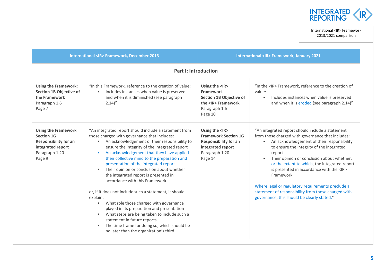

| <b>International <ir> Framework, December 2013</ir></b>                                                                   |                                                                                                                                                                                                                                                                                                                                                                                                                                                                                                                                                                                                                                                                                                                                                                                                                                                                                | <b>International <ir> Framework, January 2021</ir></b>                                                                                    |                                                                                                                                                                                                                                                                                                                                                                                                                                                                                                                                         |
|---------------------------------------------------------------------------------------------------------------------------|--------------------------------------------------------------------------------------------------------------------------------------------------------------------------------------------------------------------------------------------------------------------------------------------------------------------------------------------------------------------------------------------------------------------------------------------------------------------------------------------------------------------------------------------------------------------------------------------------------------------------------------------------------------------------------------------------------------------------------------------------------------------------------------------------------------------------------------------------------------------------------|-------------------------------------------------------------------------------------------------------------------------------------------|-----------------------------------------------------------------------------------------------------------------------------------------------------------------------------------------------------------------------------------------------------------------------------------------------------------------------------------------------------------------------------------------------------------------------------------------------------------------------------------------------------------------------------------------|
|                                                                                                                           | <b>Part I: Introduction</b>                                                                                                                                                                                                                                                                                                                                                                                                                                                                                                                                                                                                                                                                                                                                                                                                                                                    |                                                                                                                                           |                                                                                                                                                                                                                                                                                                                                                                                                                                                                                                                                         |
| <b>Using the Framework:</b><br><b>Section 1B Objective of</b><br>the Framework<br>Paragraph 1.6<br>Page 7                 | "In this Framework, reference to the creation of value:<br>Includes instances when value is preserved<br>$\bullet$<br>and when it is diminished (see paragraph<br>$2.14$ "                                                                                                                                                                                                                                                                                                                                                                                                                                                                                                                                                                                                                                                                                                     | Using the <ir><br/><b>Framework</b><br/><b>Section 1B Objective of</b><br/>the <ir> Framework<br/>Paragraph 1.6<br/>Page 10</ir></ir>     | "In the <ir> Framework, reference to the creation of<br/>value:<br/>Includes instances when value is preserved<br/><math display="inline">\bullet</math><br/>and when it is eroded (see paragraph 2.14)"</ir>                                                                                                                                                                                                                                                                                                                           |
| <b>Using the Framework</b><br>Section 1G<br><b>Responsibility for an</b><br>integrated report<br>Paragraph 1.20<br>Page 9 | "An integrated report should include a statement from<br>those charged with governance that includes:<br>An acknowledgement of their responsibility to<br>$\bullet$<br>ensure the integrity of the integrated report<br>An acknowledgement that they have applied<br>$\bullet$<br>their collective mind to the preparation and<br>presentation of the integrated report<br>Their opinion or conclusion about whether<br>the integrated report is presented in<br>accordance with this Framework<br>or, if it does not include such a statement, it should<br>explain:<br>What role those charged with governance<br>$\bullet$<br>played in its preparation and presentation<br>What steps are being taken to include such a<br>$\bullet$<br>statement in future reports<br>The time frame for doing so, which should be<br>$\bullet$<br>no later than the organization's third | Using the <ir><br/><b>Framework Section 1G</b><br/><b>Responsibility for an</b><br/>integrated report<br/>Paragraph 1.20<br/>Page 14</ir> | "An integrated report should include a statement<br>from those charged with governance that includes:<br>An acknowledgement of their responsibility<br>to ensure the integrity of the integrated<br>report<br>Their opinion or conclusion about whether,<br>or the extent to which, the integrated report<br>is presented in accordance with the <ir><br/>Framework.<br/>Where legal or regulatory requirements preclude a<br/>statement of responsibility from those charged with<br/>governance, this should be clearly stated."</ir> |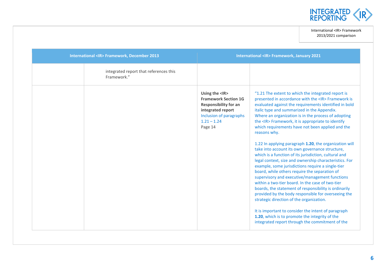

| <b>International <ir> Framework, December 2013</ir></b> |                                                                                                                                                                                 | <b>International <ir> Framework, January 2021</ir></b>                                                                                                                                                                                                                                                                                                                                                                                                                                                                                                                                                                                                                                                                                                                                                                                                                                                                                                                                                                                                                                                                                                                                            |
|---------------------------------------------------------|---------------------------------------------------------------------------------------------------------------------------------------------------------------------------------|---------------------------------------------------------------------------------------------------------------------------------------------------------------------------------------------------------------------------------------------------------------------------------------------------------------------------------------------------------------------------------------------------------------------------------------------------------------------------------------------------------------------------------------------------------------------------------------------------------------------------------------------------------------------------------------------------------------------------------------------------------------------------------------------------------------------------------------------------------------------------------------------------------------------------------------------------------------------------------------------------------------------------------------------------------------------------------------------------------------------------------------------------------------------------------------------------|
| integrated report that references this<br>Framework."   |                                                                                                                                                                                 |                                                                                                                                                                                                                                                                                                                                                                                                                                                                                                                                                                                                                                                                                                                                                                                                                                                                                                                                                                                                                                                                                                                                                                                                   |
|                                                         | Using the <ir><br/><b>Framework Section 1G</b><br/><b>Responsibility for an</b><br/>integrated report<br/>Inclusion of paragraphs<br/><math>1.21 - 1.24</math><br/>Page 14</ir> | "1.21 The extent to which the integrated report is<br>presented in accordance with the <ir>Framework is<br/>evaluated against the requirements identified in bold<br/>italic type and summarized in the Appendix.<br/>Where an organization is in the process of adopting<br/>the <ir> Framework, it is appropriate to identify<br/>which requirements have not been applied and the<br/>reasons why.<br/>1.22 In applying paragraph 1.20, the organization will<br/>take into account its own governance structure,<br/>which is a function of its jurisdiction, cultural and<br/>legal context, size and ownership characteristics. For<br/>example, some jurisdictions require a single-tier<br/>board, while others require the separation of<br/>supervisory and executive/management functions<br/>within a two-tier board. In the case of two-tier<br/>boards, the statement of responsibility is ordinarily<br/>provided by the body responsible for overseeing the<br/>strategic direction of the organization.<br/>It is important to consider the intent of paragraph<br/>1.20, which is to promote the integrity of the<br/>integrated report through the commitment of the</ir></ir> |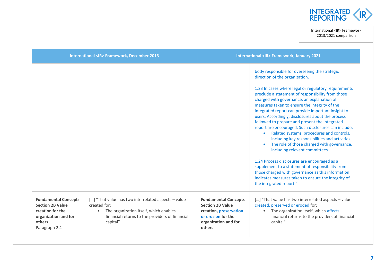

|                                                                                                                               | <b>International <ir> Framework, December 2013</ir></b>                                                                                                                                   |                                                                                                                                          | <b>International <ir> Framework, January 2021</ir></b>                                                                                                                                                                                                                                                                                                                                                                                                                                                                                                                                                                                                                                                                                                                                                                                                                                                                                    |
|-------------------------------------------------------------------------------------------------------------------------------|-------------------------------------------------------------------------------------------------------------------------------------------------------------------------------------------|------------------------------------------------------------------------------------------------------------------------------------------|-------------------------------------------------------------------------------------------------------------------------------------------------------------------------------------------------------------------------------------------------------------------------------------------------------------------------------------------------------------------------------------------------------------------------------------------------------------------------------------------------------------------------------------------------------------------------------------------------------------------------------------------------------------------------------------------------------------------------------------------------------------------------------------------------------------------------------------------------------------------------------------------------------------------------------------------|
|                                                                                                                               |                                                                                                                                                                                           |                                                                                                                                          | body responsible for overseeing the strategic<br>direction of the organization.<br>1.23 In cases where legal or regulatory requirements<br>preclude a statement of responsibility from those<br>charged with governance, an explanation of<br>measures taken to ensure the integrity of the<br>integrated report can provide important insight to<br>users. Accordingly, disclosures about the process<br>followed to prepare and present the integrated<br>report are encouraged. Such disclosures can include:<br>Related systems, procedures and controls,<br>including key responsibilities and activities<br>The role of those charged with governance,<br>including relevant committees.<br>1.24 Process disclosures are encouraged as a<br>supplement to a statement of responsibility from<br>those charged with governance as this information<br>indicates measures taken to ensure the integrity of<br>the integrated report." |
| <b>Fundamental Concepts</b><br><b>Section 2B Value</b><br>creation for the<br>organization and for<br>others<br>Paragraph 2.4 | [] "That value has two interrelated aspects - value<br>created for:<br>The organization itself, which enables<br>$\bullet$<br>financial returns to the providers of financial<br>capital" | <b>Fundamental Concepts</b><br><b>Section 2B Value</b><br>creation, preservation<br>or erosion for the<br>organization and for<br>others | [] "That value has two interrelated aspects - value<br>created, preserved or eroded for:<br>The organization itself, which affects<br>$\bullet$<br>financial returns to the providers of financial<br>capital"                                                                                                                                                                                                                                                                                                                                                                                                                                                                                                                                                                                                                                                                                                                            |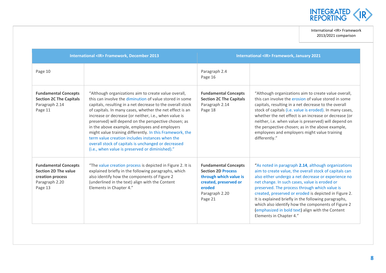

| <b>International <ir> Framework, December 2013</ir></b>                                              |                                                                                                                                                                                                                                                                                                                                                                                                                                                                                                                                                                                                                                      | <b>International <ir> Framework, January 2021</ir></b>                                                                                             |                                                                                                                                                                                                                                                                                                                                                                                                                                                                                                                              |
|------------------------------------------------------------------------------------------------------|--------------------------------------------------------------------------------------------------------------------------------------------------------------------------------------------------------------------------------------------------------------------------------------------------------------------------------------------------------------------------------------------------------------------------------------------------------------------------------------------------------------------------------------------------------------------------------------------------------------------------------------|----------------------------------------------------------------------------------------------------------------------------------------------------|------------------------------------------------------------------------------------------------------------------------------------------------------------------------------------------------------------------------------------------------------------------------------------------------------------------------------------------------------------------------------------------------------------------------------------------------------------------------------------------------------------------------------|
| Page 10                                                                                              |                                                                                                                                                                                                                                                                                                                                                                                                                                                                                                                                                                                                                                      | Paragraph 2.4<br>Page 16                                                                                                                           |                                                                                                                                                                                                                                                                                                                                                                                                                                                                                                                              |
| <b>Fundamental Concepts</b><br><b>Section 2C The Capitals</b><br>Paragraph 2.14<br>Page 11           | "Although organizations aim to create value overall,<br>this can involve the diminution of value stored in some<br>capitals, resulting in a net decrease to the overall stock<br>of capitals. In many cases, whether the net effect is an<br>increase or decrease (or neither, i.e., when value is<br>preserved) will depend on the perspective chosen; as<br>in the above example, employees and employers<br>might value training differently. In this Framework, the<br>term value creation includes instances when the<br>overall stock of capitals is unchanged or decreased<br>(i.e., when value is preserved or diminished)." | <b>Fundamental Concepts</b><br><b>Section 2C The Capitals</b><br>Paragraph 2.14<br>Page 18                                                         | "Although organizations aim to create value overall,<br>this can involve the erosion of value stored in some<br>capitals, resulting in a net decrease to the overall<br>stock of capitals (i.e. value is eroded). In many cases,<br>whether the net effect is an increase or decrease (or<br>neither, i.e. when value is preserved) will depend on<br>the perspective chosen; as in the above example,<br>employees and employers might value training<br>differently."                                                      |
| <b>Fundamental Concepts</b><br>Section 2D The value<br>creation process<br>Paragraph 2.20<br>Page 13 | "The value creation process is depicted in Figure 2. It is<br>explained briefly in the following paragraphs, which<br>also identify how the components of Figure 2<br>(underlined in the text) align with the Content<br>Elements in Chapter 4."                                                                                                                                                                                                                                                                                                                                                                                     | <b>Fundamental Concepts</b><br><b>Section 2D Process</b><br>through which value is<br>created, preserved or<br>eroded<br>Paragraph 2.20<br>Page 21 | "As noted in paragraph 2.14, although organizations<br>aim to create value, the overall stock of capitals can<br>also either undergo a net decrease or experience no<br>net change. In such cases, value is eroded or<br>preserved. The process through which value is<br>created, preserved or eroded is depicted in Figure 2.<br>It is explained briefly in the following paragraphs,<br>which also identify how the components of Figure 2<br>(emphasized in bold text) align with the Content<br>Elements in Chapter 4." |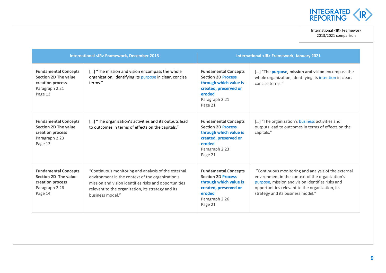

|                                                                                                      | <b>International <ir> Framework, December 2013</ir></b>                                                                                                                                                                                    |                                                                                                                                                    | <b>International <ir> Framework, January 2021</ir></b>                                                                                                                                                                                              |  |
|------------------------------------------------------------------------------------------------------|--------------------------------------------------------------------------------------------------------------------------------------------------------------------------------------------------------------------------------------------|----------------------------------------------------------------------------------------------------------------------------------------------------|-----------------------------------------------------------------------------------------------------------------------------------------------------------------------------------------------------------------------------------------------------|--|
| <b>Fundamental Concepts</b><br>Section 2D The value<br>creation process<br>Paragraph 2.21<br>Page 13 | [] "The mission and vision encompass the whole<br>organization, identifying its purpose in clear, concise<br>terms."                                                                                                                       | <b>Fundamental Concepts</b><br><b>Section 2D Process</b><br>through which value is<br>created, preserved or<br>eroded<br>Paragraph 2.21<br>Page 21 | [] "The <b>purpose, mission and vision</b> encompass the<br>whole organization, identifying its intention in clear,<br>concise terms."                                                                                                              |  |
| <b>Fundamental Concepts</b><br>Section 2D The value<br>creation process<br>Paragraph 2.23<br>Page 13 | [] "The organization's activities and its outputs lead<br>to outcomes in terms of effects on the capitals."                                                                                                                                | <b>Fundamental Concepts</b><br><b>Section 2D Process</b><br>through which value is<br>created, preserved or<br>eroded<br>Paragraph 2.23<br>Page 21 | [] "The organization's business activities and<br>outputs lead to outcomes in terms of effects on the<br>capitals."                                                                                                                                 |  |
| <b>Fundamental Concepts</b><br>Section 2D The value<br>creation process<br>Paragraph 2.26<br>Page 14 | "Continuous monitoring and analysis of the external<br>environment in the context of the organization's<br>mission and vision identifies risks and opportunities<br>relevant to the organization, its strategy and its<br>business model." | <b>Fundamental Concepts</b><br><b>Section 2D Process</b><br>through which value is<br>created, preserved or<br>eroded<br>Paragraph 2.26<br>Page 21 | "Continuous monitoring and analysis of the external<br>environment in the context of the organization's<br>purpose, mission and vision identifies risks and<br>opportunities relevant to the organization, its<br>strategy and its business model." |  |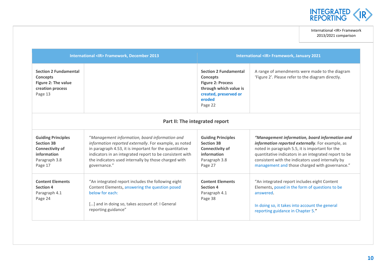

|                                                                                                                     | <b>International <ir> Framework, December 2013</ir></b>                                                                                                                                                                                                                                                 |                                                                                                                                              | <b>International <ir> Framework, January 2021</ir></b>                                                                                                                                                                                                                                                                |
|---------------------------------------------------------------------------------------------------------------------|---------------------------------------------------------------------------------------------------------------------------------------------------------------------------------------------------------------------------------------------------------------------------------------------------------|----------------------------------------------------------------------------------------------------------------------------------------------|-----------------------------------------------------------------------------------------------------------------------------------------------------------------------------------------------------------------------------------------------------------------------------------------------------------------------|
| <b>Section 2 Fundamental</b><br><b>Concepts</b><br>Figure 2: The value<br>creation process<br>Page 13               |                                                                                                                                                                                                                                                                                                         | <b>Section 2 Fundamental</b><br>Concepts<br><b>Figure 2: Process</b><br>through which value is<br>created, preserved or<br>eroded<br>Page 22 | A range of amendments were made to the diagram<br>'Figure 2'. Please refer to the diagram directly.                                                                                                                                                                                                                   |
|                                                                                                                     | Part II: The integrated report                                                                                                                                                                                                                                                                          |                                                                                                                                              |                                                                                                                                                                                                                                                                                                                       |
| <b>Guiding Principles</b><br><b>Section 3B</b><br><b>Connectivity of</b><br>information<br>Paragraph 3.8<br>Page 17 | "Management information, board information and<br>information reported externally. For example, as noted<br>in paragraph 4.53, it is important for the quantitative<br>indicators in an integrated report to be consistent with<br>the indicators used internally by those charged with<br>governance." | <b>Guiding Principles</b><br><b>Section 3B</b><br><b>Connectivity of</b><br>information<br>Paragraph 3.8<br>Page 27                          | "Management information, board information and<br>information reported externally. For example, as<br>noted in paragraph 5.5, it is important for the<br>quantitative indicators in an integrated report to be<br>consistent with the indicators used internally by<br>management and those charged with governance." |
| <b>Content Elements</b><br><b>Section 4</b><br>Paragraph 4.1<br>Page 24                                             | "An integrated report includes the following eight<br>Content Elements, answering the question posed<br>below for each:<br>[] and in doing so, takes account of: I General<br>reporting guidance"                                                                                                       | <b>Content Elements</b><br><b>Section 4</b><br>Paragraph 4.1<br>Page 38                                                                      | "An integrated report includes eight Content<br>Elements, posed in the form of questions to be<br>answered.<br>In doing so, it takes into account the general<br>reporting guidance in Chapter 5."                                                                                                                    |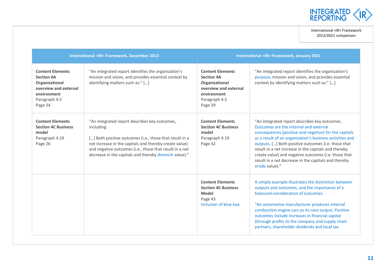

| <b>International <ir> Framework, December 2013</ir></b>                                                                            |                                                                                                                                                                                                                                                                                                       | <b>International <ir> Framework, January 2021</ir></b>                                                                             |                                                                                                                                                                                                                                                                                                                                                                                                                                                               |
|------------------------------------------------------------------------------------------------------------------------------------|-------------------------------------------------------------------------------------------------------------------------------------------------------------------------------------------------------------------------------------------------------------------------------------------------------|------------------------------------------------------------------------------------------------------------------------------------|---------------------------------------------------------------------------------------------------------------------------------------------------------------------------------------------------------------------------------------------------------------------------------------------------------------------------------------------------------------------------------------------------------------------------------------------------------------|
| <b>Content Elements</b><br><b>Section 4A</b><br>Organizational<br>overview and external<br>environment<br>Paragraph 4.5<br>Page 24 | "An integrated report identifies the organization's<br>mission and vision, and provides essential context by<br>identifying matters such as:" []                                                                                                                                                      | <b>Content Elements</b><br><b>Section 4A</b><br>Organizational<br>overview and external<br>environment<br>Paragraph 4.5<br>Page 39 | "An integrated report identifies the organization's<br>purpose, mission and vision, and provides essential<br>context by identifying matters such as:" []                                                                                                                                                                                                                                                                                                     |
| <b>Content Elements</b><br><b>Section 4C Business</b><br>model<br>Paragraph 4.19<br>Page 26                                        | "An integrated report describes key outcomes,<br>including:<br>[] Both positive outcomes (i.e., those that result in a<br>net increase in the capitals and thereby create value)<br>and negative outcomes (i.e., those that result in a net<br>decrease in the capitals and thereby diminish value)." | <b>Content Elements</b><br><b>Section 4C Business</b><br>model<br>Paragraph 4.19<br>Page 42                                        | "An integrated report describes key outcomes.<br>Outcomes are the internal and external<br>consequences (positive and negative) for the capitals<br>as a result of an organization's business activities and<br>outputs. [] Both positive outcomes (i.e. those that<br>result in a net increase in the capitals and thereby<br>create value) and negative outcomes (i.e. those that<br>result in a net decrease in the capitals and thereby<br>erode value)." |
|                                                                                                                                    |                                                                                                                                                                                                                                                                                                       | <b>Content Elements</b><br><b>Section 4C Business</b><br>Model<br>Page 43<br>Inclusion of blue box                                 | A simple example illustrates the distinction between<br>outputs and outcomes, and the importance of a<br>balanced consideration of outcomes.<br>"An automotive manufacturer produces internal<br>combustion engine cars as its core output. Positive<br>outcomes include increases in financial capital<br>(through profits to the company and supply chain<br>partners, shareholder dividends and local tax                                                  |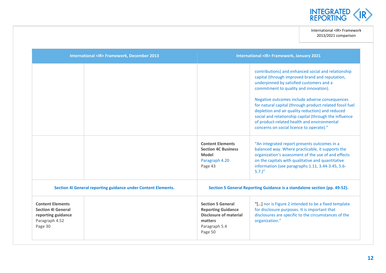

| <b>International <ir> Framework, December 2013</ir></b>                                                 |                                                                                                                               | <b>International <ir> Framework, January 2021</ir></b>                                                                                                                                                                                                                                                                                                                                                                                                                                                              |
|---------------------------------------------------------------------------------------------------------|-------------------------------------------------------------------------------------------------------------------------------|---------------------------------------------------------------------------------------------------------------------------------------------------------------------------------------------------------------------------------------------------------------------------------------------------------------------------------------------------------------------------------------------------------------------------------------------------------------------------------------------------------------------|
|                                                                                                         |                                                                                                                               | contributions) and enhanced social and relationship<br>capital (through improved brand and reputation,<br>underpinned by satisfied customers and a<br>commitment to quality and innovation).<br>Negative outcomes include adverse consequences<br>for natural capital (through product-related fossil fuel<br>depletion and air quality reduction) and reduced<br>social and relationship capital (through the influence<br>of product-related health and environmental<br>concerns on social licence to operate)." |
|                                                                                                         | <b>Content Elements</b><br><b>Section 4C Business</b><br>Model<br>Paragraph 4.20<br>Page 43                                   | "An integrated report presents outcomes in a<br>balanced way. Where practicable, it supports the<br>organization's assessment of the use of and effects<br>on the capitals with qualitative and quantitative<br>information (see paragraphs 1.11, 3.44-3.45, 5.6-<br>$5.7.$ )"                                                                                                                                                                                                                                      |
| Section 4I General reporting guidance under Content Elements.                                           |                                                                                                                               | Section 5 General Reporting Guidance is a standalone section (pp. 49-52).                                                                                                                                                                                                                                                                                                                                                                                                                                           |
| <b>Content Elements</b><br><b>Section 4I General</b><br>reporting guidance<br>Paragraph 4.52<br>Page 30 | <b>Section 5 General</b><br><b>Reporting Guidance</b><br><b>Disclosure of material</b><br>matters<br>Paragraph 5.4<br>Page 50 | "[] nor is Figure 2 intended to be a fixed template<br>for disclosure purposes. It is important that<br>disclosures are specific to the circumstances of the<br>organization."                                                                                                                                                                                                                                                                                                                                      |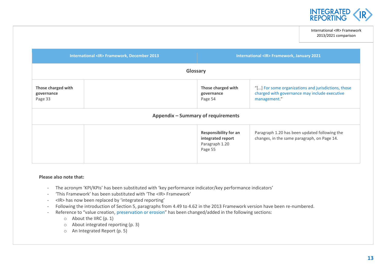

| International <ir> Framework</ir> |
|-----------------------------------|
| 2013/2021 comparison              |

| <b>International <ir> Framework, December 2013</ir></b> |                                           |                                                                                | <b>International <ir> Framework, January 2021</ir></b>                                                               |
|---------------------------------------------------------|-------------------------------------------|--------------------------------------------------------------------------------|----------------------------------------------------------------------------------------------------------------------|
|                                                         | Glossary                                  |                                                                                |                                                                                                                      |
| Those charged with<br>governance<br>Page 33             |                                           | Those charged with<br>governance<br>Page 54                                    | "[] For some organizations and jurisdictions, those<br>charged with governance may include executive<br>management." |
|                                                         | <b>Appendix - Summary of requirements</b> |                                                                                |                                                                                                                      |
|                                                         |                                           | <b>Responsibility for an</b><br>integrated report<br>Paragraph 1.20<br>Page 55 | Paragraph 1.20 has been updated following the<br>changes, in the same paragraph, on Page 14.                         |

#### **Please also note that:**

- The acronym 'KPI/KPIs' has been substituted with 'key performance indicator/key performance indicators'
- 'This Framework' has been substituted with 'The <IR> Framework'
- <IR> has now been replaced by 'integrated reporting'
- Following the introduction of Section 5, paragraphs from 4.49 to 4.62 in the 2013 Framework version have been re-numbered.
- Reference to "value creation, preservation or erosion" has been changed/added in the following sections:
	- o About the IIRC (p. 1)
	- o About integrated reporting (p. 3)
	- o An Integrated Report (p. 5)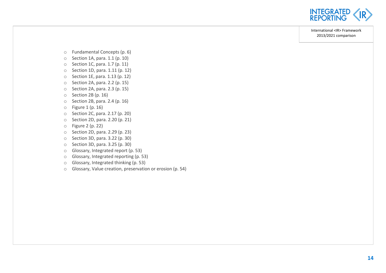

- o Fundamental Concepts (p. 6)
- o Section 1A, para. 1.1 (p. 10)
- $\circ$  Section 1C, para. 1.7 (p. 11)
- o Section 1D, para. 1.11 (p. 12)
- o Section 1E, para. 1.13 (p. 12)
- o Section 2A, para. 2.2 (p. 15)
- o Section 2A, para. 2.3 (p. 15)
- $\circ$  Section 2B (p. 16)
- o Section 2B, para. 2.4 (p. 16)
- $\circ$  Figure 1 (p. 16)
- o Section 2C, para. 2.17 (p. 20)
- o Section 2D, para. 2.20 (p. 21)
- o Figure 2 (p. 22)
- o Section 2D, para. 2.29 (p. 23)
- o Section 3D, para. 3.22 (p. 30)
- o Section 3D, para. 3.25 (p. 30)
- o Glossary, Integrated report (p. 53)
- o Glossary, Integrated reporting (p. 53)
- o Glossary, Integrated thinking (p. 53)
- o Glossary, Value creation, preservation or erosion (p. 54)